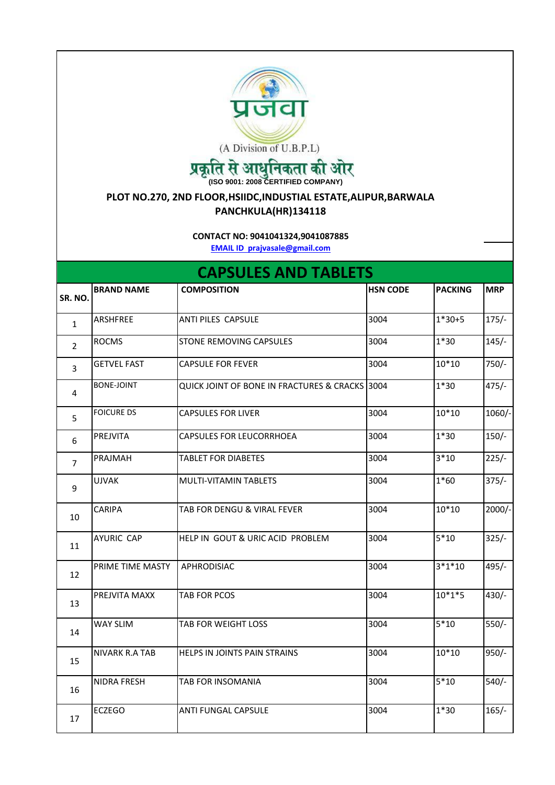

(A Division of U.B.P.L)

## प्रकृति से आधुनिकता की ओर

 **(ISO 9001: 2008 CERTIFIED COMPANY)**

## **PLOT NO.270, 2ND FLOOR,HSIIDC,INDUSTIAL ESTATE,ALIPUR,BARWALA PANCHKULA(HR)134118**

**CONTACT NO: 9041041324,9041087885**

**EMAIL ID prajvasale@gmail.com**

| <b>CAPSULES AND TABLETS</b> |                       |                                                |                 |                |            |  |
|-----------------------------|-----------------------|------------------------------------------------|-----------------|----------------|------------|--|
| SR. NO.                     | <b>BRAND NAME</b>     | <b>COMPOSITION</b>                             | <b>HSN CODE</b> | <b>PACKING</b> | <b>MRP</b> |  |
| $\mathbf{1}$                | <b>ARSHFREE</b>       | ANTI PILES CAPSULE                             | 3004            | $1*30+5$       | $175/-$    |  |
| $\mathcal{P}$               | <b>ROCMS</b>          | <b>STONE REMOVING CAPSULES</b>                 | 3004            | $1*30$         | $145/-$    |  |
| 3                           | <b>GETVEL FAST</b>    | <b>CAPSULE FOR FEVER</b>                       | 3004            | $10*10$        | $750/-$    |  |
| 4                           | BONE-JOINT            | QUICK JOINT OF BONE IN FRACTURES & CRACKS 3004 |                 | $1*30$         | $475/-$    |  |
| 5                           | <b>FOICURE DS</b>     | <b>CAPSULES FOR LIVER</b>                      | 3004            | $10*10$        | $1060/-$   |  |
| 6                           | PREJVITA              | <b>CAPSULES FOR LEUCORRHOEA</b>                | 3004            | $1*30$         | $150/-$    |  |
| $\overline{7}$              | PRAJMAH               | <b>TABLET FOR DIABETES</b>                     | 3004            | $3*10$         | $225/-$    |  |
| 9                           | <b>UJVAK</b>          | <b>MULTI-VITAMIN TABLETS</b>                   | 3004            | $1*60$         | $375/-$    |  |
| 10                          | <b>CARIPA</b>         | TAB FOR DENGU & VIRAL FEVER                    | 3004            | $10*10$        | $2000/-$   |  |
| 11                          | AYURIC CAP            | HELP IN GOUT & URIC ACID PROBLEM               | 3004            | $5*10$         | $325/-$    |  |
| 12                          | PRIME TIME MASTY      | APHRODISIAC                                    | 3004            | $3*1*10$       | 495/-      |  |
| 13                          | PREJVITA MAXX         | TAB FOR PCOS                                   | 3004            | $10*1*5$       | $430/-$    |  |
| 14                          | <b>WAY SLIM</b>       | TAB FOR WEIGHT LOSS                            | 3004            | $5*10$         | $550/-$    |  |
| 15                          | <b>NIVARK R.A TAB</b> | HELPS IN JOINTS PAIN STRAINS                   | 3004            | $10*10$        | $950/-$    |  |
| 16                          | NIDRA FRESH           | TAB FOR INSOMANIA                              | 3004            | $5*10$         | $540/-$    |  |
| 17                          | <b>ECZEGO</b>         | <b>ANTI FUNGAL CAPSULE</b>                     | 3004            | $1*30$         | $165/-$    |  |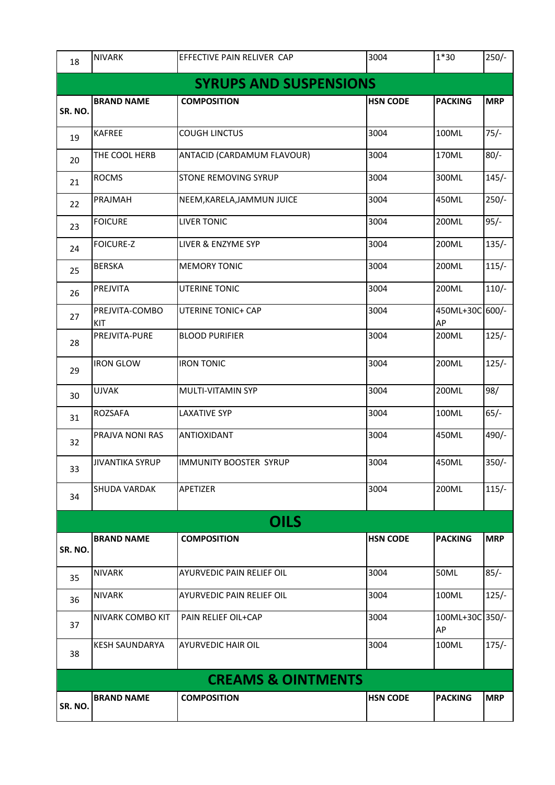| 18          | <b>NIVARK</b>           | EFFECTIVE PAIN RELIVER CAP       | 3004            | $1*30$                       | $250/-$    |  |  |
|-------------|-------------------------|----------------------------------|-----------------|------------------------------|------------|--|--|
|             |                         | <b>SYRUPS AND SUSPENSIONS</b>    |                 |                              |            |  |  |
| SR. NO.     | <b>BRAND NAME</b>       | <b>COMPOSITION</b>               | <b>HSN CODE</b> | <b>PACKING</b>               | <b>MRP</b> |  |  |
| 19          | <b>KAFREE</b>           | <b>COUGH LINCTUS</b>             | 3004            | 100ML                        | $75/-$     |  |  |
| 20          | THE COOL HERB           | ANTACID (CARDAMUM FLAVOUR)       | 3004            | 170ML                        | $80/-$     |  |  |
| 21          | <b>ROCMS</b>            | <b>STONE REMOVING SYRUP</b>      | 3004            | 300ML                        | $145/-$    |  |  |
| 22          | PRAJMAH                 | NEEM, KARELA, JAMMUN JUICE       | 3004            | 450ML                        | $250/-$    |  |  |
| 23          | <b>FOICURE</b>          | <b>LIVER TONIC</b>               | 3004            | 200ML                        | $95/-$     |  |  |
| 24          | <b>FOICURE-Z</b>        | LIVER & ENZYME SYP               | 3004            | 200ML                        | $135/-$    |  |  |
| 25          | <b>BERSKA</b>           | <b>MEMORY TONIC</b>              | 3004            | 200ML                        | $115/-$    |  |  |
| 26          | PREJVITA                | UTERINE TONIC                    | 3004            | 200ML                        | $110/-$    |  |  |
| 27          | PREJVITA-COMBO<br>KIT   | <b>UTERINE TONIC+ CAP</b>        | 3004            | 450ML+30C 600/-<br>AP        |            |  |  |
| 28          | PREJVITA-PURE           | <b>BLOOD PURIFIER</b>            | 3004            | 200ML                        | $125/-$    |  |  |
| 29          | <b>IRON GLOW</b>        | <b>IRON TONIC</b>                | 3004            | 200ML                        | $125/-$    |  |  |
| 30          | <b>UJVAK</b>            | MULTI-VITAMIN SYP                | 3004            | 200ML                        | 98/        |  |  |
| 31          | <b>ROZSAFA</b>          | <b>LAXATIVE SYP</b>              | 3004            | 100ML                        | $65/-$     |  |  |
| 32          | PRAJVA NONI RAS         | ANTIOXIDANT                      | 3004            | 450ML                        | 490/-      |  |  |
| 33          | <b>JIVANTIKA SYRUP</b>  | IMMUNITY BOOSTER SYRUP           | 3004            | 450ML                        | $350/-$    |  |  |
| 34          | <b>SHUDA VARDAK</b>     | APETIZER                         | 3004            | 200ML                        | $115/-$    |  |  |
| <b>OILS</b> |                         |                                  |                 |                              |            |  |  |
| SR. NO.     | <b>BRAND NAME</b>       | <b>COMPOSITION</b>               | <b>HSN CODE</b> | <b>PACKING</b>               | <b>MRP</b> |  |  |
| 35          | <b>NIVARK</b>           | <b>AYURVEDIC PAIN RELIEF OIL</b> | 3004            | 50ML                         | $85/-$     |  |  |
| 36          | <b>NIVARK</b>           | <b>AYURVEDIC PAIN RELIEF OIL</b> | 3004            | 100ML                        | $125/-$    |  |  |
| 37          | <b>NIVARK COMBO KIT</b> | PAIN RELIEF OIL+CAP              | 3004            | 100ML+30C 350/-<br><b>AP</b> |            |  |  |
| 38          | <b>KESH SAUNDARYA</b>   | <b>AYURVEDIC HAIR OIL</b>        | 3004            | 100ML                        | $175/-$    |  |  |
|             |                         | <b>CREAMS &amp; OINTMENTS</b>    |                 |                              |            |  |  |
| SR. NO.     | <b>BRAND NAME</b>       | <b>COMPOSITION</b>               | <b>HSN CODE</b> | <b>PACKING</b>               | <b>MRP</b> |  |  |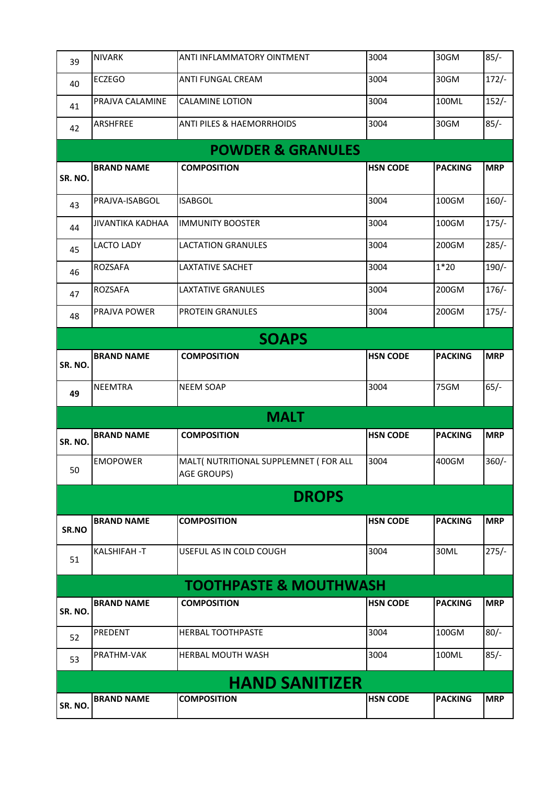| 39                                | <b>NIVARK</b>           | ANTI INFLAMMATORY OINTMENT                                   | 3004            | 30GM           | $85/-$     |  |  |
|-----------------------------------|-------------------------|--------------------------------------------------------------|-----------------|----------------|------------|--|--|
| 40                                | <b>ECZEGO</b>           | ANTI FUNGAL CREAM                                            | 3004            | 30GM           | $172/-$    |  |  |
| 41                                | PRAJVA CALAMINE         | CALAMINE LOTION                                              | 3004            | 100ML          | $152/-$    |  |  |
| 42                                | ARSHFREE                | <b>ANTI PILES &amp; HAEMORRHOIDS</b>                         | 3004            | 30GM           | $85/-$     |  |  |
|                                   |                         | <b>POWDER &amp; GRANULES</b>                                 |                 |                |            |  |  |
| SR. NO.                           | <b>BRAND NAME</b>       | <b>COMPOSITION</b>                                           | <b>HSN CODE</b> | <b>PACKING</b> | <b>MRP</b> |  |  |
| 43                                | PRAJVA-ISABGOL          | <b>ISABGOL</b>                                               | 3004            | 100GM          | $160/-$    |  |  |
| 44                                | <b>JIVANTIKA KADHAA</b> | <b>IMMUNITY BOOSTER</b>                                      | 3004            | 100GM          | $175/-$    |  |  |
| 45                                | <b>LACTO LADY</b>       | LACTATION GRANULES                                           | 3004            | 200GM          | $285/-$    |  |  |
| 46                                | <b>ROZSAFA</b>          | <b>LAXTATIVE SACHET</b>                                      | 3004            | $1*20$         | $190/-$    |  |  |
| 47                                | <b>ROZSAFA</b>          | <b>LAXTATIVE GRANULES</b>                                    | 3004            | 200GM          | $176/-$    |  |  |
| 48                                | PRAJVA POWER            | <b>PROTEIN GRANULES</b>                                      | 3004            | 200GM          | $175/-$    |  |  |
| <b>SOAPS</b>                      |                         |                                                              |                 |                |            |  |  |
| SR. NO.                           | <b>BRAND NAME</b>       | <b>COMPOSITION</b>                                           | <b>HSN CODE</b> | <b>PACKING</b> | <b>MRP</b> |  |  |
| 49                                | <b>NEEMTRA</b>          | <b>NEEM SOAP</b>                                             | 3004            | 75GM           | $65/-$     |  |  |
| <b>MALT</b>                       |                         |                                                              |                 |                |            |  |  |
| SR. NO.                           | <b>BRAND NAME</b>       | <b>COMPOSITION</b>                                           | <b>HSN CODE</b> | <b>PACKING</b> | <b>MRP</b> |  |  |
| 50                                | <b>EMOPOWER</b>         | MALT( NUTRITIONAL SUPPLEMNET ( FOR ALL<br><b>AGE GROUPS)</b> | 3004            | 400GM          | $360/-$    |  |  |
| <b>DROPS</b>                      |                         |                                                              |                 |                |            |  |  |
| SR.NO                             | <b>BRAND NAME</b>       | <b>COMPOSITION</b>                                           | <b>HSN CODE</b> | <b>PACKING</b> | <b>MRP</b> |  |  |
| 51                                | KALSHIFAH -T            | USEFUL AS IN COLD COUGH                                      | 3004            | 30ML           | $275/-$    |  |  |
| <b>TOOTHPASTE &amp; MOUTHWASH</b> |                         |                                                              |                 |                |            |  |  |
| SR. NO.                           | <b>BRAND NAME</b>       | <b>COMPOSITION</b>                                           | <b>HSN CODE</b> | <b>PACKING</b> | <b>MRP</b> |  |  |
| 52                                | PREDENT                 | HERBAL TOOTHPASTE                                            | 3004            | 100GM          | $80/-$     |  |  |
| 53                                | PRATHM-VAK              | HERBAL MOUTH WASH                                            | 3004            | 100ML          | $85/-$     |  |  |
| <b>HAND SANITIZER</b>             |                         |                                                              |                 |                |            |  |  |
|                                   |                         |                                                              |                 |                |            |  |  |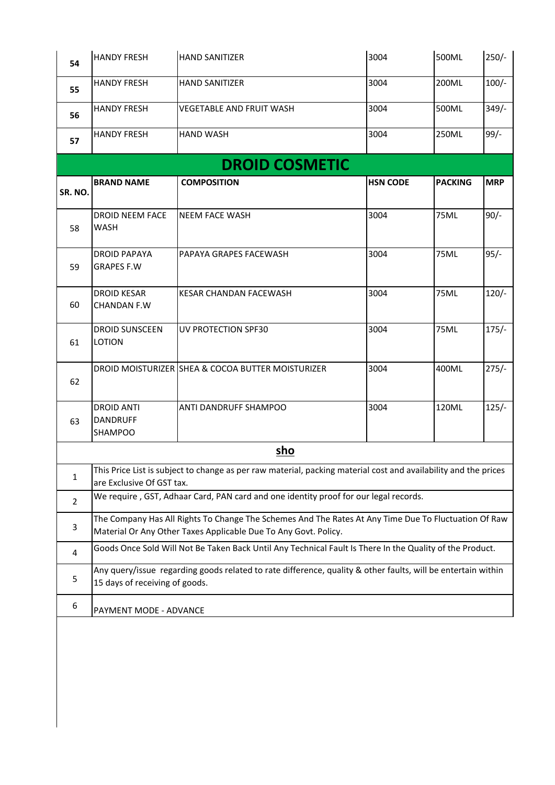| 54             | <b>HANDY FRESH</b>                                                                                                                                                      | <b>HAND SANITIZER</b>                             | 3004            | 500ML          | $250/-$    |  |
|----------------|-------------------------------------------------------------------------------------------------------------------------------------------------------------------------|---------------------------------------------------|-----------------|----------------|------------|--|
| 55             | <b>HANDY FRESH</b>                                                                                                                                                      | <b>HAND SANITIZER</b>                             | 3004            | 200ML          | $100/-$    |  |
| 56             | <b>HANDY FRESH</b>                                                                                                                                                      | <b>VEGETABLE AND FRUIT WASH</b>                   | 3004            | 500ML          | $349/-$    |  |
| 57             | <b>HANDY FRESH</b>                                                                                                                                                      | <b>HAND WASH</b>                                  | 3004            | 250ML          | $99/-$     |  |
|                |                                                                                                                                                                         | <b>DROID COSMETIC</b>                             |                 |                |            |  |
| SR. NO.        | <b>BRAND NAME</b>                                                                                                                                                       | <b>COMPOSITION</b>                                | <b>HSN CODE</b> | <b>PACKING</b> | <b>MRP</b> |  |
| 58             | <b>DROID NEEM FACE</b><br><b>WASH</b>                                                                                                                                   | <b>NEEM FACE WASH</b>                             | 3004            | 75ML           | $90/-$     |  |
| 59             | <b>DROID PAPAYA</b><br><b>GRAPES F.W</b>                                                                                                                                | PAPAYA GRAPES FACEWASH                            | 3004            | 75ML           | $95/-$     |  |
| 60             | <b>DROID KESAR</b><br><b>CHANDAN F.W</b>                                                                                                                                | <b>KESAR CHANDAN FACEWASH</b>                     | 3004            | 75ML           | $120/-$    |  |
| 61             | <b>DROID SUNSCEEN</b><br>LOTION                                                                                                                                         | UV PROTECTION SPF30                               | 3004            | 75ML           | $175/-$    |  |
| 62             |                                                                                                                                                                         | DROID MOISTURIZER SHEA & COCOA BUTTER MOISTURIZER | 3004            | 400ML          | $275/-$    |  |
| 63             | <b>DROID ANTI</b><br><b>DANDRUFF</b><br><b>SHAMPOO</b>                                                                                                                  | ANTI DANDRUFF SHAMPOO                             | 3004            | 120ML          | $125/-$    |  |
|                |                                                                                                                                                                         | sho                                               |                 |                |            |  |
| 1              | This Price List is subject to change as per raw material, packing material cost and availability and the prices<br>are Exclusive Of GST tax.                            |                                                   |                 |                |            |  |
| $\overline{2}$ | We require, GST, Adhaar Card, PAN card and one identity proof for our legal records.                                                                                    |                                                   |                 |                |            |  |
| 3              | The Company Has All Rights To Change The Schemes And The Rates At Any Time Due To Fluctuation Of Raw<br>Material Or Any Other Taxes Applicable Due To Any Govt. Policy. |                                                   |                 |                |            |  |
| 4              | Goods Once Sold Will Not Be Taken Back Until Any Technical Fault Is There In the Quality of the Product.                                                                |                                                   |                 |                |            |  |
| 5              | Any query/issue regarding goods related to rate difference, quality & other faults, will be entertain within<br>15 days of receiving of goods.                          |                                                   |                 |                |            |  |
| 6              | PAYMENT MODE - ADVANCE                                                                                                                                                  |                                                   |                 |                |            |  |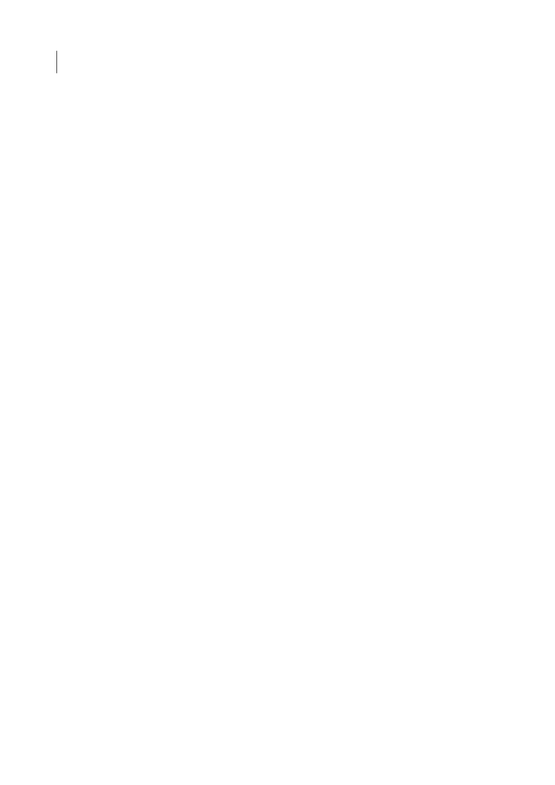$\overline{\phantom{a}}$